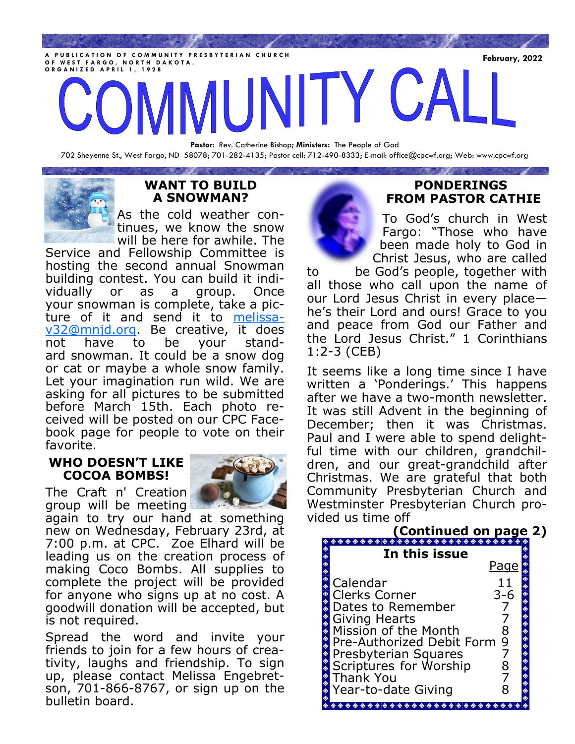**FUBLICATION OF COMMUNITY PRESBYTERIAN CHURCH**<br>F WEST FARCO, NORTH DAKOTA **O F W E S T F A R G O , N O R T H D A K O T A . O R G A N I Z E D A P R I L 1 , 1 9 2 8**

**Pastor:** Rev. Catherine Bishop**; Ministers:** The People of God 702 Sheyenne St., West Fargo, ND 58078; 701-282-4135; Pastor cell: 712-490-8333; E-mail: office@cpcwf.org; Web: www.cpcwf.org



# **WANT TO BUILD A SNOWMAN?**

**STATISTICS** 

As the cold weather continues, we know the snow will be here for awhile. The

Service and Fellowship Committee is hosting the second annual Snowman building contest. You can build it individually or as a group. Once your snowman is complete, take a picture of it and send it to [melissa](mailto:melissav32@mnjd.org)[v32@mnjd.org.](mailto:melissav32@mnjd.org) Be creative, it does not have to be your standard snowman. It could be a snow dog or cat or maybe a whole snow family. Let your imagination run wild. We are asking for all pictures to be submitted before March 15th. Each photo received will be posted on our CPC Facebook page for people to vote on their favorite.

## **WHO DOESN'T LIKE COCOA BOMBS!**

The Craft n' Creation group will be meeting



again to try our hand at something new on Wednesday, February 23rd, at 7:00 p.m. at CPC. Zoe Elhard will be leading us on the creation process of making Coco Bombs. All supplies to complete the project will be provided for anyone who signs up at no cost. A goodwill donation will be accepted, but is not required.

Spread the word and invite your friends to join for a few hours of creativity, laughs and friendship. To sign up, please contact Melissa Engebretson, 701-866-8767, or sign up on the bulletin board.



# **PONDERINGS FROM PASTOR CATHIE**

To God's church in West Fargo: "Those who have been made holy to God in Christ Jesus, who are called

to be God's people, together with all those who call upon the name of our Lord Jesus Christ in every place he's their Lord and ours! Grace to you and peace from God our Father and the Lord Jesus Christ." 1 Corinthians 1:2-3 (CEB)

It seems like a long time since I have written a 'Ponderings.' This happens after we have a two-month newsletter. It was still Advent in the beginning of December; then it was Christmas. Paul and I were able to spend delightful time with our children, grandchildren, and our great-grandchild after Christmas. We are grateful that both Community Presbyterian Church and Westminster Presbyterian Church provided us time off

|                                                                                                                                                                                                                                                                                                                                              | (Continued on page 2)                                                                                                                                                                                                                                                                                                                                                                                                                                                                                                                                                                                                                                                                                       |                                        |  |
|----------------------------------------------------------------------------------------------------------------------------------------------------------------------------------------------------------------------------------------------------------------------------------------------------------------------------------------------|-------------------------------------------------------------------------------------------------------------------------------------------------------------------------------------------------------------------------------------------------------------------------------------------------------------------------------------------------------------------------------------------------------------------------------------------------------------------------------------------------------------------------------------------------------------------------------------------------------------------------------------------------------------------------------------------------------------|----------------------------------------|--|
|                                                                                                                                                                                                                                                                                                                                              | In this issue                                                                                                                                                                                                                                                                                                                                                                                                                                                                                                                                                                                                                                                                                               | <u>Page</u>                            |  |
| $\begin{picture}(160,170)(-0.00,0.00) \put(0,0){\line(1,0){10}} \put(10,0){\line(1,0){10}} \put(10,0){\line(1,0){10}} \put(10,0){\line(1,0){10}} \put(10,0){\line(1,0){10}} \put(10,0){\line(1,0){10}} \put(10,0){\line(1,0){10}} \put(10,0){\line(1,0){10}} \put(10,0){\line(1,0){10}} \put(10,0){\line(1,0){10}} \put(10,0){\line(1,0){10$ | Calendar<br><b>Clerks Corner</b>                                                                                                                                                                                                                                                                                                                                                                                                                                                                                                                                                                                                                                                                            | 11<br>$3 - 6$                          |  |
|                                                                                                                                                                                                                                                                                                                                              | Dates to Remember<br>Giving Hearts<br>Mission of the Month                                                                                                                                                                                                                                                                                                                                                                                                                                                                                                                                                                                                                                                  |                                        |  |
|                                                                                                                                                                                                                                                                                                                                              | Pre-Authorized Debit Form<br>Presbyterian Squares                                                                                                                                                                                                                                                                                                                                                                                                                                                                                                                                                                                                                                                           | $\frac{8}{9}$<br>$\diamond$ $\diamond$ |  |
|                                                                                                                                                                                                                                                                                                                                              | Scriptures for Worship<br><b>Thank You</b>                                                                                                                                                                                                                                                                                                                                                                                                                                                                                                                                                                                                                                                                  | 8                                      |  |
|                                                                                                                                                                                                                                                                                                                                              | Year-to-date Giving<br>$\color{red}\bullet\color{red}\bullet\color{red}\bullet\color{red}\bullet\color{red}\bullet\color{red}\bullet\color{red}\bullet\color{red}\bullet\color{red}\bullet\color{red}\bullet\color{red}\bullet\color{red}\bullet\color{red}\bullet\color{red}\bullet\color{red}\bullet\color{red}\bullet\color{red}\bullet\color{red}\bullet\color{red}\bullet\color{red}\bullet\color{red}\bullet\color{red}\bullet\color{red}\bullet\color{red}\bullet\color{red}\bullet\color{red}\bullet\color{red}\bullet\color{red}\bullet\color{red}\bullet\color{red}\bullet\color{red}\bullet\color{red}\bullet\color{red}\bullet\color{red}\bullet\color{red}\bullet\color{red}\bullet\color{red$ | 8                                      |  |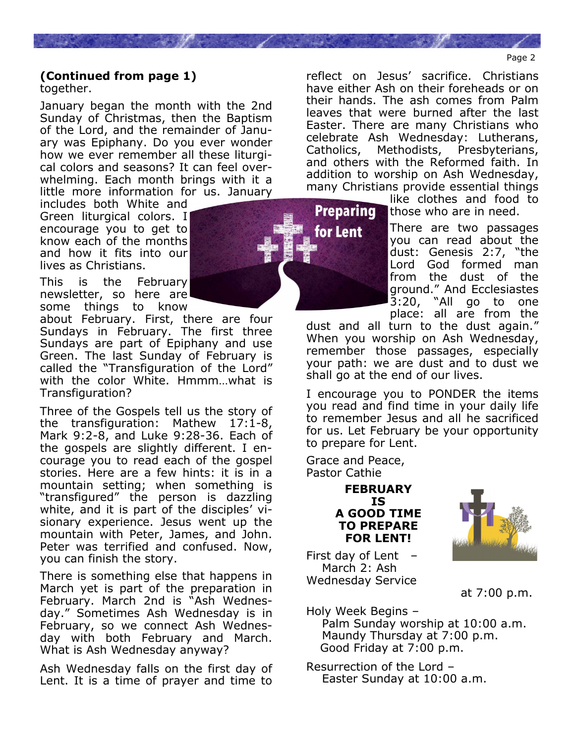#### Page 2

#### **(Continued from page 1)** together.

January began the month with the 2nd Sunday of Christmas, then the Baptism of the Lord, and the remainder of January was Epiphany. Do you ever wonder how we ever remember all these liturgical colors and seasons? It can feel overwhelming. Each month brings with it a little more information for us. January

includes both White and Green liturgical colors. I encourage you to get to know each of the months and how it fits into our lives as Christians.

This is the February newsletter, so here are some things to know

about February. First, there are four Sundays in February. The first three Sundays are part of Epiphany and use Green. The last Sunday of February is called the "Transfiguration of the Lord" with the color White. Hmmm…what is Transfiguration?

Three of the Gospels tell us the story of the transfiguration: Mathew 17:1-8, Mark 9:2-8, and Luke 9:28-36. Each of the gospels are slightly different. I encourage you to read each of the gospel stories. Here are a few hints: it is in a mountain setting; when something is "transfigured" the person is dazzling white, and it is part of the disciples' visionary experience. Jesus went up the mountain with Peter, James, and John. Peter was terrified and confused. Now, you can finish the story.

There is something else that happens in March yet is part of the preparation in February. March 2nd is "Ash Wednesday." Sometimes Ash Wednesday is in February, so we connect Ash Wednesday with both February and March. What is Ash Wednesday anyway?

Ash Wednesday falls on the first day of Lent. It is a time of prayer and time to Catholics, Methodists, Presbyterians, and others with the Reformed faith. In addition to worship on Ash Wednesday, many Christians provide essential things like clothes and food to Preparing those who are in need.

reflect on Jesus' sacrifice. Christians have either Ash on their foreheads or on their hands. The ash comes from Palm leaves that were burned after the last Easter. There are many Christians who celebrate Ash Wednesday: Lutherans,

> There are two passages you can read about the dust: Genesis 2:7, "the Lord God formed man from the dust of the ground." And Ecclesiastes 3:20, "All go to one place: all are from the

dust and all turn to the dust again." When you worship on Ash Wednesday, remember those passages, especially your path: we are dust and to dust we shall go at the end of our lives.

I encourage you to PONDER the items you read and find time in your daily life to remember Jesus and all he sacrificed for us. Let February be your opportunity to prepare for Lent.

Grace and Peace, Pastor Cathie 

### **FEBRUARY IS A GOOD TIME TO PREPARE FOR LENT!**

First day of Lent  $-$  March 2: Ash Wednesday Service



at 7:00 p.m.

Holy Week Begins – Palm Sunday worship at 10:00 a.m. Maundy Thursday at 7:00 p.m. Good Friday at 7:00 p.m.

Resurrection of the Lord – Easter Sunday at 10:00 a.m.

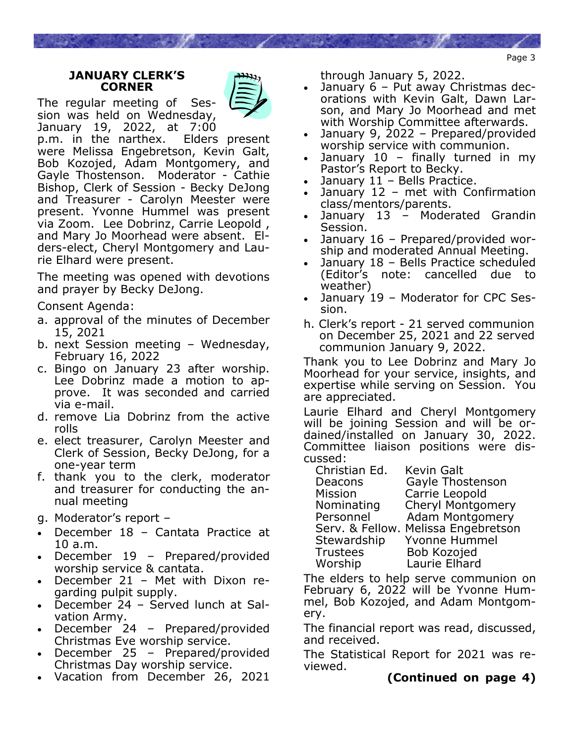Page 3

### **JANUARY CLERK'S CORNER**

The regular meeting of Session was held on Wednesday, January 19, 2022, at 7:00



p.m. in the narthex. Elders present were Melissa Engebretson, Kevin Galt, Bob Kozojed, Adam Montgomery, and Gayle Thostenson. Moderator - Cathie Bishop, Clerk of Session - Becky DeJong and Treasurer - Carolyn Meester were present. Yvonne Hummel was present via Zoom. Lee Dobrinz, Carrie Leopold , and Mary Jo Moorhead were absent. Elders-elect, Cheryl Montgomery and Laurie Elhard were present.

The meeting was opened with devotions and prayer by Becky DeJong.

Consent Agenda:

- a. approval of the minutes of December 15, 2021
- b. next Session meeting Wednesday, February 16, 2022
- c. Bingo on January 23 after worship. Lee Dobrinz made a motion to approve. It was seconded and carried via e-mail.
- d. remove Lia Dobrinz from the active rolls
- e. elect treasurer, Carolyn Meester and Clerk of Session, Becky DeJong, for a one-year term
- f. thank you to the clerk, moderator and treasurer for conducting the annual meeting
- g. Moderator's report –
- December 18 Cantata Practice at 10 a.m.
- December 19 Prepared/provided worship service & cantata.
- December 21 Met with Dixon regarding pulpit supply.
- December 24 Served lunch at Salvation Army.
- December 24 Prepared/provided Christmas Eve worship service.
- December 25 Prepared/provided Christmas Day worship service.
- Vacation from December 26, 2021

through January 5, 2022.

- January 6 Put away Christmas decorations with Kevin Galt, Dawn Larson, and Mary Jo Moorhead and met with Worship Committee afterwards.
- January 9, 2022 Prepared/provided worship service with communion.
- January  $10$  finally turned in my Pastor's Report to Becky.
- January 11 Bells Practice.
- January 12 met with Confirmation class/mentors/parents.
- January 13 Moderated Grandin Session.
- January 16 Prepared/provided worship and moderated Annual Meeting.
- January 18 Bells Practice scheduled (Editor's note: cancelled due to weather)
- January 19 Moderator for CPC Session.
- h. Clerk's report 21 served communion on December 25, 2021 and 22 served communion January 9, 2022.

Thank you to Lee Dobrinz and Mary Jo Moorhead for your service, insights, and expertise while serving on Session. You are appreciated.

Laurie Elhard and Cheryl Montgomery will be joining Session and will be ordained/installed on January 30, 2022. Committee liaison positions were discussed:

 Christian Ed. Kevin Galt Deacons Gayle Thostenson Mission Carrie Leopold Nominating Cheryl Montgomery

Personnel Adam Montgomery Serv. & Fellow. Melissa Engebretson Stewardship Yvonne Hummel Trustees Bob Kozojed Worship Laurie Elhard

The elders to help serve communion on February 6, 2022 will be Yvonne Hummel, Bob Kozojed, and Adam Montgomery.

The financial report was read, discussed, and received.

The Statistical Report for 2021 was reviewed.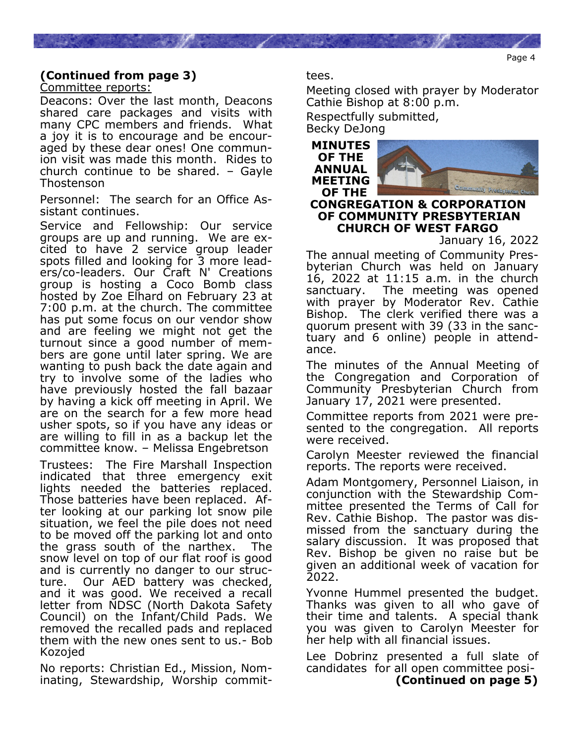# **(Continued from page 3)**

Committee reports:

Deacons: Over the last month, Deacons shared care packages and visits with many CPC members and friends. What a joy it is to encourage and be encouraged by these dear ones! One communion visit was made this month. Rides to church continue to be shared. – Gayle Thostenson

Personnel: The search for an Office Assistant continues.

Service and Fellowship: Our service groups are up and running. We are excited to have 2 service group leader spots filled and looking for 3 more leaders/co-leaders. Our Craft N' Creations group is hosting a Coco Bomb class hosted by Zoe Elhard on February 23 at 7:00 p.m. at the church. The committee has put some focus on our vendor show and are feeling we might not get the turnout since a good number of members are gone until later spring. We are wanting to push back the date again and try to involve some of the ladies who have previously hosted the fall bazaar by having a kick off meeting in April. We are on the search for a few more head usher spots, so if you have any ideas or are willing to fill in as a backup let the committee know. – Melissa Engebretson

Trustees: The Fire Marshall Inspection indicated that three emergency exit lights needed the batteries replaced. Those batteries have been replaced. After looking at our parking lot snow pile situation, we feel the pile does not need to be moved off the parking lot and onto the grass south of the narthex. The snow level on top of our flat roof is good and is currently no danger to our structure. Our AED battery was checked, and it was good. We received a recall letter from NDSC (North Dakota Safety Council) on the Infant/Child Pads. We removed the recalled pads and replaced them with the new ones sent to us.- Bob Kozojed

No reports: Christian Ed., Mission, Nominating, Stewardship, Worship committees.

Meeting closed with prayer by Moderator Cathie Bishop at 8:00 p.m.

Respectfully submitted,

Becky DeJong



**CONGREGATION & CORPORATION OF COMMUNITY PRESBYTERIAN CHURCH OF WEST FARGO** 

January 16, 2022

The annual meeting of Community Presbyterian Church was held on January 16, 2022 at 11:15 a.m. in the church sanctuary. The meeting was opened with prayer by Moderator Rev. Cathie Bishop. The clerk verified there was a quorum present with 39 (33 in the sanctuary and 6 online) people in attendance.

The minutes of the Annual Meeting of the Congregation and Corporation of Community Presbyterian Church from January 17, 2021 were presented.

Committee reports from 2021 were presented to the congregation. All reports were received.

Carolyn Meester reviewed the financial reports. The reports were received.

Adam Montgomery, Personnel Liaison, in conjunction with the Stewardship Committee presented the Terms of Call for Rev. Cathie Bishop. The pastor was dismissed from the sanctuary during the salary discussion. It was proposed that Rev. Bishop be given no raise but be given an additional week of vacation for 2022.

Yvonne Hummel presented the budget. Thanks was given to all who gave of their time and talents. A special thank you was given to Carolyn Meester for her help with all financial issues.

Lee Dobrinz presented a full slate of candidates for all open committee posi- **(Continued on page 5)**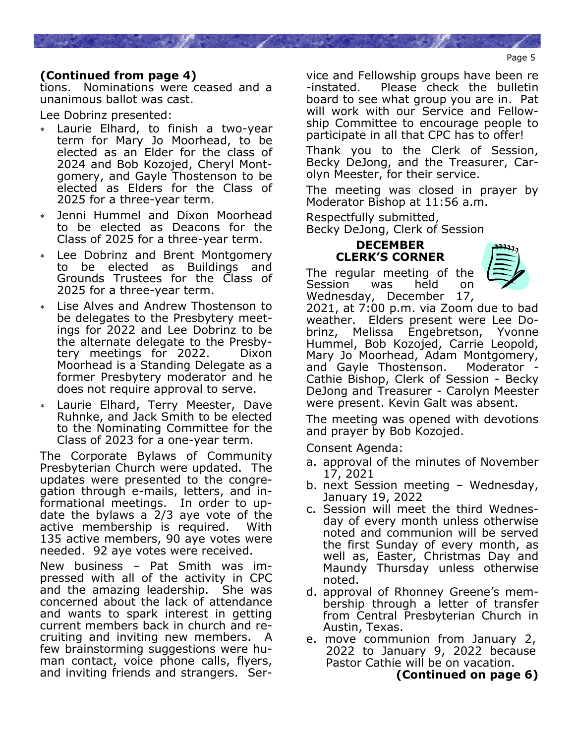## **(Continued from page 4)**

tions. Nominations were ceased and a unanimous ballot was cast.

Lee Dobrinz presented:

- Laurie Elhard, to finish a two-year term for Mary Jo Moorhead, to be elected as an Elder for the class of 2024 and Bob Kozojed, Cheryl Montgomery, and Gayle Thostenson to be elected as Elders for the Class of 2025 for a three-year term.
- Jenni Hummel and Dixon Moorhead to be elected as Deacons for the Class of 2025 for a three-year term.
- Lee Dobrinz and Brent Montgomery to be elected as Buildings and Grounds Trustees for the Class of 2025 for a three-year term.
- Lise Alves and Andrew Thostenson to be delegates to the Presbytery meetings for 2022 and Lee Dobrinz to be the alternate delegate to the Presbytery meetings for 2022. Dixon Moorhead is a Standing Delegate as a former Presbytery moderator and he does not require approval to serve.
- Laurie Elhard, Terry Meester, Dave Ruhnke, and Jack Smith to be elected to the Nominating Committee for the Class of 2023 for a one-year term.

The Corporate Bylaws of Community Presbyterian Church were updated. The updates were presented to the congregation through e-mails, letters, and informational meetings. In order to update the bylaws a 2/3 aye vote of the active membership is required. With 135 active members, 90 aye votes were needed. 92 aye votes were received.

New business – Pat Smith was impressed with all of the activity in CPC and the amazing leadership. She was concerned about the lack of attendance and wants to spark interest in getting current members back in church and recruiting and inviting new members. A few brainstorming suggestions were human contact, voice phone calls, flyers, and inviting friends and strangers. Service and Fellowship groups have been re -instated. Please check the bulletin board to see what group you are in. Pat will work with our Service and Fellowship Committee to encourage people to participate in all that CPC has to offer!

Thank you to the Clerk of Session, Becky DeJong, and the Treasurer, Carolyn Meester, for their service.

The meeting was closed in prayer by Moderator Bishop at 11:56 a.m.

Respectfully submitted,

Becky DeJong, Clerk of Session

### **DECEMBER CLERK'S CORNER**

The regular meeting of the Session was held on Wednesday, December 17,



2021, at 7:00 p.m. via Zoom due to bad weather. Elders present were Lee Dobrinz, Melissa Engebretson, Yvonne Hummel, Bob Kozojed, Carrie Leopold, Mary Jo Moorhead, Adam Montgomery, and Gayle Thostenson. Moderator Cathie Bishop, Clerk of Session - Becky DeJong and Treasurer - Carolyn Meester were present. Kevin Galt was absent.

The meeting was opened with devotions and prayer by Bob Kozojed.

Consent Agenda:

- a. approval of the minutes of November 17, 2021
- b. next Session meeting Wednesday, January 19, 2022
- c. Session will meet the third Wednesday of every month unless otherwise noted and communion will be served the first Sunday of every month, as well as, Easter, Christmas Day and Maundy Thursday unless otherwise noted.
- d. approval of Rhonney Greene's membership through a letter of transfer from Central Presbyterian Church in Austin, Texas.
- e. move communion from January 2, 2022 to January 9, 2022 because Pastor Cathie will be on vacation.

**(Continued on page 6)**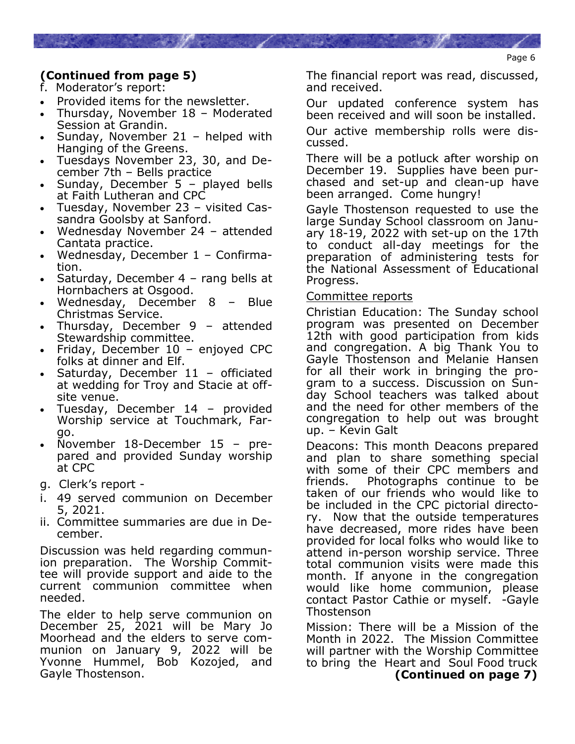# **(Continued from page 5)**

- f. Moderator's report:
- Provided items for the newsletter.
- Thursday, November 18 Moderated Session at Grandin.
- Sunday, November 21 helped with Hanging of the Greens.
- Tuesdays November 23, 30, and December 7th – Bells practice
- Sunday, December 5 played bells at Faith Lutheran and CPC
- Tuesday, November 23 visited Cassandra Goolsby at Sanford.
- Wednesday November 24 attended Cantata practice.
- Wednesday, December 1 Confirmation.
- Saturday, December 4 rang bells at Hornbachers at Osgood.
- Wednesday, December 8 Blue Christmas Service.
- Thursday, December 9 attended Stewardship committee.
- Friday, December 10 enjoyed CPC folks at dinner and Elf.
- Saturday, December  $11 -$  officiated at wedding for Troy and Stacie at offsite venue.
- Tuesday, December 14 provided Worship service at Touchmark, Fargo.
- November 18-December 15 prepared and provided Sunday worship at CPC
- g. Clerk's report -
- i. 49 served communion on December 5, 2021.
- ii. Committee summaries are due in December.

Discussion was held regarding communion preparation. The Worship Committee will provide support and aide to the current communion committee when needed.

The elder to help serve communion on December 25, 2021 will be Mary Jo Moorhead and the elders to serve communion on January 9, 2022 will be Yvonne Hummel, Bob Kozojed, and Gayle Thostenson.

The financial report was read, discussed, and received.

Our updated conference system has been received and will soon be installed.

Our active membership rolls were discussed.

There will be a potluck after worship on December 19. Supplies have been purchased and set-up and clean-up have been arranged. Come hungry!

Gayle Thostenson requested to use the large Sunday School classroom on January 18-19, 2022 with set-up on the 17th to conduct all-day meetings for the preparation of administering tests for the National Assessment of Educational Progress.

### Committee reports

Christian Education: The Sunday school program was presented on December 12th with good participation from kids and congregation. A big Thank You to Gayle Thostenson and Melanie Hansen for all their work in bringing the program to a success. Discussion on Sunday School teachers was talked about and the need for other members of the congregation to help out was brought up. – Kevin Galt

Deacons: This month Deacons prepared and plan to share something special with some of their CPC members and friends. Photographs continue to be taken of our friends who would like to be included in the CPC pictorial directory. Now that the outside temperatures have decreased, more rides have been provided for local folks who would like to attend in-person worship service. Three total communion visits were made this month. If anyone in the congregation would like home communion, please contact Pastor Cathie or myself. -Gayle Thostenson

Mission: There will be a Mission of the Month in 2022. The Mission Committee will partner with the Worship Committee to bring the Heart and Soul Food truck  **(Continued on page 7)**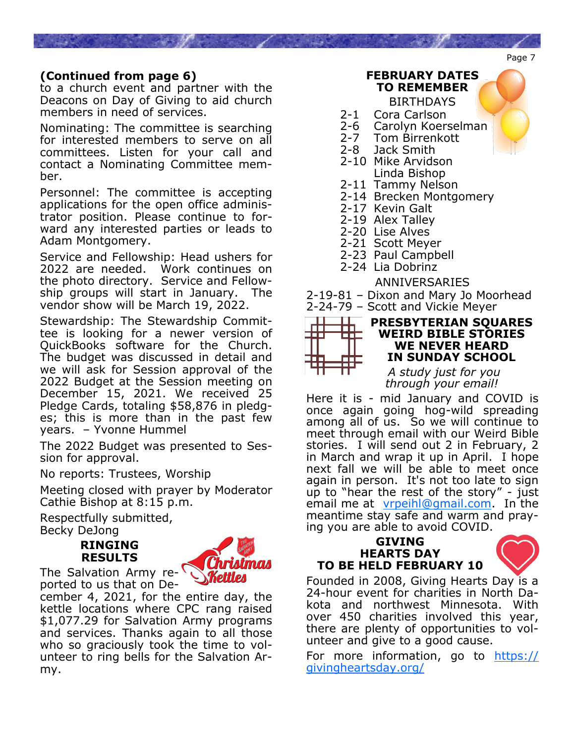## **(Continued from page 6)**

to a church event and partner with the Deacons on Day of Giving to aid church members in need of services.

Nominating: The committee is searching for interested members to serve on all committees. Listen for your call and contact a Nominating Committee member.

Personnel: The committee is accepting applications for the open office administrator position. Please continue to forward any interested parties or leads to Adam Montgomery.

Service and Fellowship: Head ushers for 2022 are needed. Work continues on the photo directory. Service and Fellowship groups will start in January. The vendor show will be March 19, 2022.

Stewardship: The Stewardship Committee is looking for a newer version of QuickBooks software for the Church. The budget was discussed in detail and we will ask for Session approval of the 2022 Budget at the Session meeting on December 15, 2021. We received 25 Pledge Cards, totaling \$58,876 in pledges; this is more than in the past few years. – Yvonne Hummel

The 2022 Budget was presented to Session for approval.

No reports: Trustees, Worship

Meeting closed with prayer by Moderator Cathie Bishop at 8:15 p.m.

Respectfully submitted, Becky DeJong

> **RINGING RESULTS**

my.



ported to us that on December 4, 2021, for the entire day, the kettle locations where CPC rang raised \$1,077.29 for Salvation Army programs and services. Thanks again to all those

who so graciously took the time to volunteer to ring bells for the Salvation Ar-

2-1 Cora Carlson<br>2-6 Carolyn Koer Carolyn Koerselman 2-7 Tom Birrenkott<br>2-8 Jack Smith

**FEBRUARY DATES TO REMEMBER** BIRTHDAYS

- Jack Smith
- 2-10 Mike Arvidson Linda Bishop
- 2-11 Tammy Nelson
- 2-14 Brecken Montgomery
- 2-17 Kevin Galt
- 2-19 Alex Talley
- 2-20 Lise Alves
- 2-21 Scott Meyer
- 2-23 Paul Campbell
- 2-24 Lia Dobrinz

### ANNIVERSARIES

2-19-81 – Dixon and Mary Jo Moorhead 2-24-79 – Scott and Vickie Meyer



#### **PRESBYTERIAN SQUARES WEIRD BIBLE STORIES WE NEVER HEARD IN SUNDAY SCHOOL**

 *A study just for you through your email!* 

Here it is - mid January and COVID is once again going hog-wild spreading among all of us. So we will continue to meet through email with our Weird Bible stories. I will send out 2 in February, 2 in March and wrap it up in April. I hope next fall we will be able to meet once again in person. It's not too late to sign up to "hear the rest of the story" - just email me at [vrpeihl@gmail.com.](mailto:vrpeihl@gmail.com) In the meantime stay safe and warm and praying you are able to avoid COVID.

#### **GIVING HEARTS DAY TO BE HELD FEBRUARY 10**



Founded in 2008, Giving Hearts Day is a 24-hour event for charities in North Dakota and northwest Minnesota. With over 450 charities involved this year, there are plenty of opportunities to volunteer and give to a good cause.

For more information, go to [https://](https://givingheartsday.org/) [givingheartsday.org/](https://givingheartsday.org/)

Page 7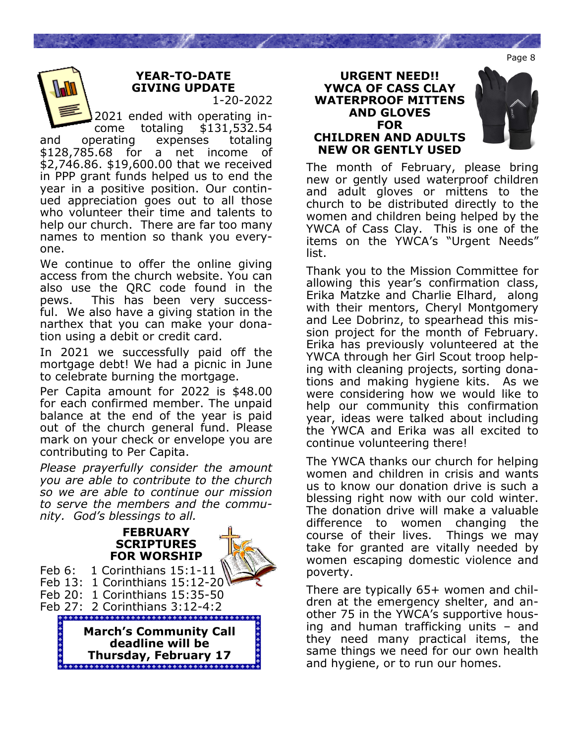Page 8

### **YEAR-TO-DATE GIVING UPDATE**  1-20-2022

2021 ended with operating income totaling \$131,532.54 and operating expenses totaling \$128,785.68 for a net income of \$2,746.86. \$19,600.00 that we received in PPP grant funds helped us to end the year in a positive position. Our continued appreciation goes out to all those who volunteer their time and talents to help our church. There are far too many names to mention so thank you everyone.

We continue to offer the online giving access from the church website. You can also use the QRC code found in the pews. This has been very successful. We also have a giving station in the narthex that you can make your donation using a debit or credit card.

In 2021 we successfully paid off the mortgage debt! We had a picnic in June to celebrate burning the mortgage.

Per Capita amount for 2022 is \$48.00 for each confirmed member. The unpaid balance at the end of the year is paid out of the church general fund. Please mark on your check or envelope you are contributing to Per Capita.

*Please prayerfully consider the amount you are able to contribute to the church so we are able to continue our mission to serve the members and the community. God's blessings to all.*







The month of February, please bring new or gently used waterproof children and adult gloves or mittens to the church to be distributed directly to the women and children being helped by the YWCA of Cass Clay. This is one of the items on the YWCA's "Urgent Needs" list.

Thank you to the Mission Committee for allowing this year's confirmation class, Erika Matzke and Charlie Elhard, along with their mentors, Cheryl Montgomery and Lee Dobrinz, to spearhead this mission project for the month of February. Erika has previously volunteered at the YWCA through her Girl Scout troop helping with cleaning projects, sorting donations and making hygiene kits. As we were considering how we would like to help our community this confirmation year, ideas were talked about including the YWCA and Erika was all excited to continue volunteering there!

The YWCA thanks our church for helping women and children in crisis and wants us to know our donation drive is such a blessing right now with our cold winter. The donation drive will make a valuable difference to women changing the course of their lives. Things we may take for granted are vitally needed by women escaping domestic violence and poverty.

There are typically 65+ women and children at the emergency shelter, and another 75 in the YWCA's supportive housing and human trafficking units – and they need many practical items, the same things we need for our own health and hygiene, or to run our homes.